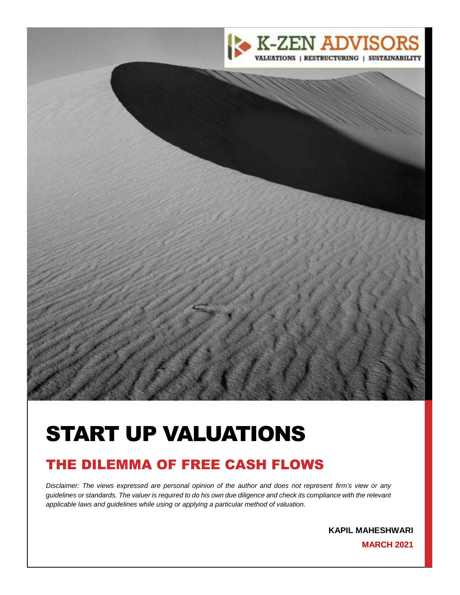

# START UP VALUATIONS

# THE DILEMMA OF FREE CASH FLOWS

*Disclaimer: The views expressed are personal opinion of the author and does not represent firm's view or any guidelines or standards. The valuer is required to do his own due diligence and check its compliance with the relevant applicable laws and guidelines while using or applying a particular method of valuation.*

2 **KAPIL MAHESHWARI**

**MARCH 2021**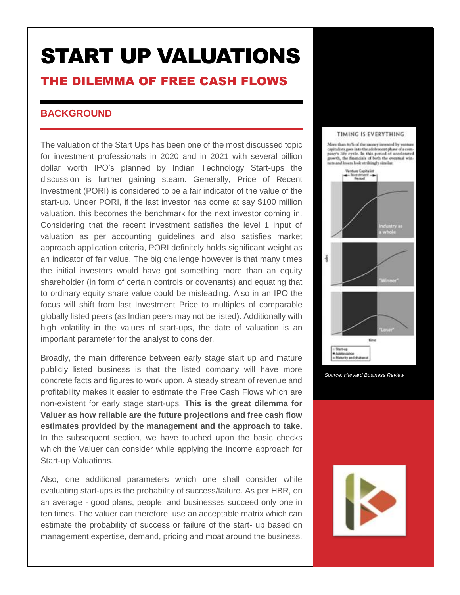# START UP VALUATIONS THE DILEMMA OF FREE CASH FLOWS

# **BACKGROUND**

The valuation of the Start Ups has been one of the most discussed topic for investment professionals in 2020 and in 2021 with several billion dollar worth IPO's planned by Indian Technology Start-ups the discussion is further gaining steam. Generally, Price of Recent Investment (PORI) is considered to be a fair indicator of the value of the start-up. Under PORI, if the last investor has come at say \$100 million valuation, this becomes the benchmark for the next investor coming in. Considering that the recent investment satisfies the level 1 input of valuation as per accounting guidelines and also satisfies market approach application criteria, PORI definitely holds significant weight as an indicator of fair value. The big challenge however is that many times the initial investors would have got something more than an equity shareholder (in form of certain controls or covenants) and equating that to ordinary equity share value could be misleading. Also in an IPO the focus will shift from last Investment Price to multiples of comparable globally listed peers (as Indian peers may not be listed). Additionally with high volatility in the values of start-ups, the date of valuation is an important parameter for the analyst to consider.

Broadly, the main difference between early stage start up and mature publicly listed business is that the listed company will have more concrete facts and figures to work upon. A steady stream of revenue and profitability makes it easier to estimate the Free Cash Flows which are non-existent for early stage start-ups. **This is the great dilemma for Valuer as how reliable are the future projections and free cash flow estimates provided by the management and the approach to take.** In the subsequent section, we have touched upon the basic checks which the Valuer can consider while applying the Income approach for Start-up Valuations.

Also, one additional parameters which one shall consider while evaluating start-ups is the probability of success/failure. As per HBR, on an average - good plans, people, and businesses succeed only one in ten times. The valuer can therefore use an acceptable matrix which can estimate the probability of success or failure of the start- up based on management expertise, demand, pricing and moat around the business.

#### TIMING IS EVERYTHING

More than  $8a\%$  of the money invested by venture capitalists goes iato the adaloncent phase of a company's life cycle. In this period of accelerated growth, the financials of both the eventual win-<br>ners and lovers look strikingly similar.





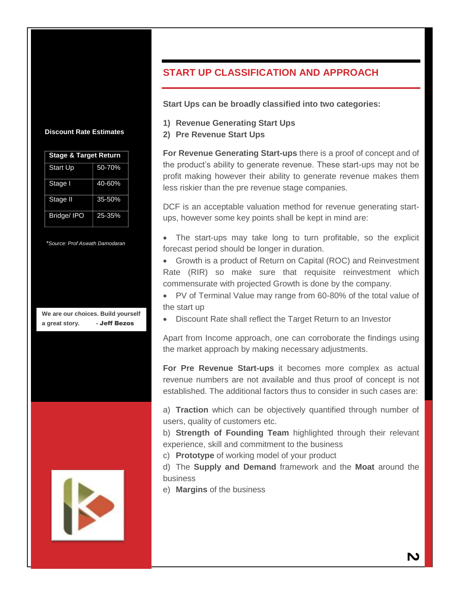#### **Discount Rate Estimates**

| <b>Stage &amp; Target Return</b> |        |
|----------------------------------|--------|
| <b>Start Up</b>                  | 50-70% |
| Stage I                          | 40-60% |
| Stage II                         | 35-50% |
| Bridge/IPO                       | 25-35% |

*\*Source: Prof Aswath Damodaran*

**We are our choices. Build yourself a great story. -** Jeff Bezos



# **START UP CLASSIFICATION AND APPROACH**

**Start Ups can be broadly classified into two categories:**

- **1) Revenue Generating Start Ups**
- **2) Pre Revenue Start Ups**

**For Revenue Generating Start-ups** there is a proof of concept and of the product's ability to generate revenue. These start-ups may not be profit making however their ability to generate revenue makes them less riskier than the pre revenue stage companies.

DCF is an acceptable valuation method for revenue generating startups, however some key points shall be kept in mind are:

 The start-ups may take long to turn profitable, so the explicit forecast period should be longer in duration.

 Growth is a product of Return on Capital (ROC) and Reinvestment Rate (RIR) so make sure that requisite reinvestment which commensurate with projected Growth is done by the company.

 PV of Terminal Value may range from 60-80% of the total value of the start up

Discount Rate shall reflect the Target Return to an Investor

Apart from Income approach, one can corroborate the findings using the market approach by making necessary adjustments.

**For Pre Revenue Start-ups** it becomes more complex as actual revenue numbers are not available and thus proof of concept is not established. The additional factors thus to consider in such cases are:

a) **Traction** which can be objectively quantified through number of users, quality of customers etc.

b) **Strength of Founding Team** highlighted through their relevant experience, skill and commitment to the business

c) **Prototype** of working model of your product

d) The **Supply and Demand** framework and the **Moat** around the business

e) **Margins** of the business